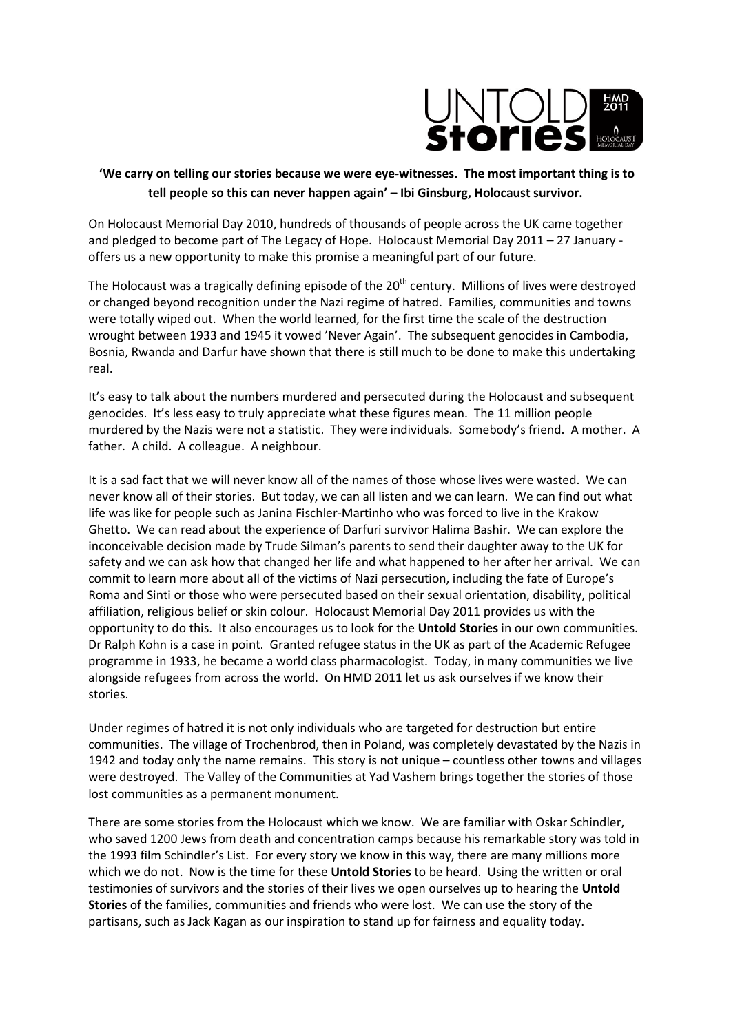

## **'We carry on telling our stories because we were eye-witnesses. The most important thing is to tell people so this can never happen again' – Ibi Ginsburg, Holocaust survivor.**

On Holocaust Memorial Day 2010, hundreds of thousands of people across the UK came together and pledged to become part of The Legacy of Hope. Holocaust Memorial Day 2011 – 27 January offers us a new opportunity to make this promise a meaningful part of our future.

The Holocaust was a tragically defining episode of the 20<sup>th</sup> century. Millions of lives were destroyed or changed beyond recognition under the Nazi regime of hatred. Families, communities and towns were totally wiped out. When the world learned, for the first time the scale of the destruction wrought between 1933 and 1945 it vowed 'Never Again'. The subsequent genocides in Cambodia, Bosnia, Rwanda and Darfur have shown that there is still much to be done to make this undertaking real.

It's easy to talk about the numbers murdered and persecuted during the Holocaust and subsequent genocides. It's less easy to truly appreciate what these figures mean. The 11 million people murdered by the Nazis were not a statistic. They were individuals. Somebody's friend. A mother. A father. A child. A colleague. A neighbour.

It is a sad fact that we will never know all of the names of those whose lives were wasted. We can never know all of their stories. But today, we can all listen and we can learn. We can find out what life was like for people such as Janina Fischler-Martinho who was forced to live in the Krakow Ghetto. We can read about the experience of Darfuri survivor Halima Bashir. We can explore the inconceivable decision made by Trude Silman's parents to send their daughter away to the UK for safety and we can ask how that changed her life and what happened to her after her arrival. We can commit to learn more about all of the victims of Nazi persecution, including the fate of Europe's Roma and Sinti or those who were persecuted based on their sexual orientation, disability, political affiliation, religious belief or skin colour. Holocaust Memorial Day 2011 provides us with the opportunity to do this. It also encourages us to look for the **Untold Stories** in our own communities. Dr Ralph Kohn is a case in point. Granted refugee status in the UK as part of the Academic Refugee programme in 1933, he became a world class pharmacologist. Today, in many communities we live alongside refugees from across the world. On HMD 2011 let us ask ourselves if we know their stories.

Under regimes of hatred it is not only individuals who are targeted for destruction but entire communities. The village of Trochenbrod, then in Poland, was completely devastated by the Nazis in 1942 and today only the name remains. This story is not unique – countless other towns and villages were destroyed. The Valley of the Communities at Yad Vashem brings together the stories of those lost communities as a permanent monument.

There are some stories from the Holocaust which we know. We are familiar with Oskar Schindler, who saved 1200 Jews from death and concentration camps because his remarkable story was told in the 1993 film Schindler's List. For every story we know in this way, there are many millions more which we do not. Now is the time for these **Untold Stories** to be heard. Using the written or oral testimonies of survivors and the stories of their lives we open ourselves up to hearing the **Untold Stories** of the families, communities and friends who were lost. We can use the story of the partisans, such as Jack Kagan as our inspiration to stand up for fairness and equality today.